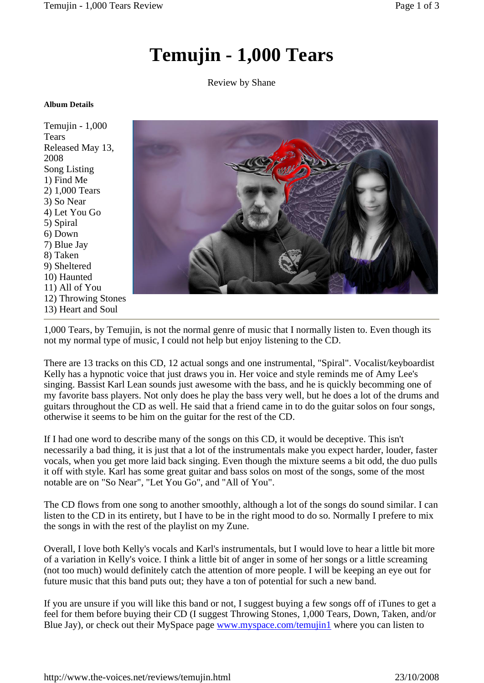## **Temujin - 1,000 Tears**

Review by Shane

## **Album Details**

Temujin -1,000 **Tears** Released May 13, 2008 Song Listing 1) Find Me 2) 1,000 Tears 3) So Near 4) Let You Go 5) Spiral 6) Down 7) Blue Jay 8) Taken 9) Sheltered 10) Haunted 11) All of You 12) Throwing Stones 13) Heart and Soul



1,000 Tears, by Temujin, is not the normal genre of music that I normally listen to. Even though its not my normal type of music, I could not help but enjoy listening to the CD.

There are 13 tracks on this CD, 12 actual songs and one instrumental, "Spiral". Vocalist/keyboardist Kelly has a hypnotic voice that just draws you in. Her voice and style reminds me of Amy Lee's singing. Bassist Karl Lean sounds just awesome with the bass, and he is quickly becomming one of my favorite bass players. Not only does he play the bass very well, but he does a lot of the drums and guitars throughout the CD aswell. He said that a friend came in to do the guitar solos on four songs, otherwise it seems to be him on the guitar for the rest of the CD.

If I had one word to describe many of the songs on this CD, it would be deceptive. This isn't necessarily a bad thing, it is just that a lot of the instrumentals make you expect harder, louder, faster vocals, when you get more laid back singing. Even though the mixture seems a bit odd, the duo pulls it off with style. Karl has some great guitar and bass solos on most of the songs, some of the most notable are on "So Near", "Let You Go", and "All of You".

The CD flows from one song to another smoothly, although a lot of the songs do sound similar. I can listen to the CD in its entirety, but I have to be in the right mood to do so. Normally I prefere to mix the songs in with the rest of the playlist on my Zune.

Overall, I love both Kelly's vocals and Karl's instrumentals, but I would love to hear a little bit more of a variation in Kelly's voice. I think a little bit of anger in some of her songs or a little screaming (not too much) would definitely catch the attention of more people. I will be keeping an eye out for future music that this band puts out; they have a ton of potential for such a new band.

If you are unsure if you will like this band or not, I suggest buying a few songs off of iTunes to get a feel for them before buying their CD (I suggest Throwing Stones, 1,000 Tears, Down, Taken, and/or Blue Jay), or check out their MySpace page [www.myspace.com/temujin1](http://www.myspace.com/temujin1) where you can listen to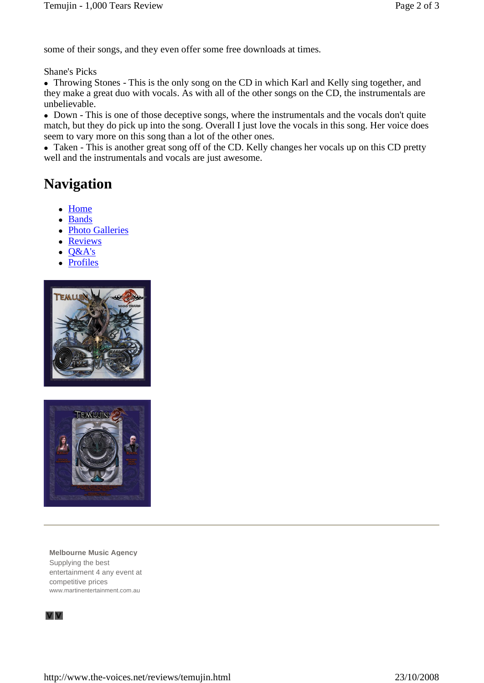some of their songs, and they even offer some free downloads at times.

Shane's Picks

 Throwing Stones - This is the only song on the CD in which Karl and Kelly sing together, and they make a great duo with vocals. As with all of the other songs on the CD, the instrumentals are unbelievable.

• Down - This is one of those deceptive songs, where the instrumentals and the vocals don't quite match, but they do pick up into the song. Overall I just love the vocals in this song. Her voice does seem to vary more on this song than a lot of the other ones.

• Taken - This is another great song off of the CD. Kelly changes her vocals up on this CD pretty well and the instrumentals and vocals are just awesome.

## **Navigation**

- Home
- Bands
- Photo Galleries
- Reviews
- $-$  Q&A's
- Profiles





**Melbourne Music Agency** Supplying the best entertainment 4 any event at competitive prices [www.martinentertainment.com.au](http://www.martinentertainment.com.au)